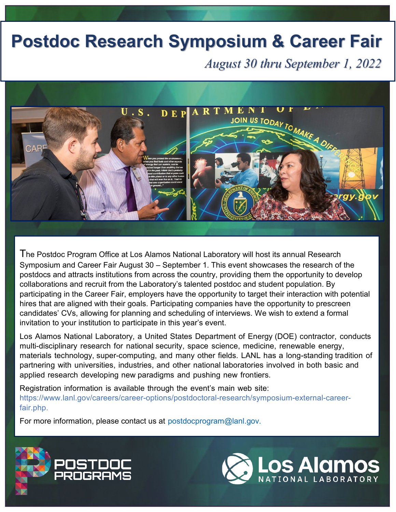## **Postdoc Research Symposium & Career Fair**

*August 30 thru September 1, 2022*



The Postdoc Program Office at Los Alamos National Laboratory will host its annual Research Symposium and Career Fair August 30 – September 1. This event showcases the research of the postdocs and attracts institutions from across the country, providing them the opportunity to develop collaborations and recruit from the Laboratory's talented postdoc and student population. By participating in the Career Fair, employers have the opportunity to target their interaction with potential hires that are aligned with their goals. Participating companies have the opportunity to prescreen candidates' CVs, allowing for planning and scheduling of interviews. We wish to extend a formal invitation to your institution to participate in this year's event.

Los Alamos National Laboratory, a United States Department of Energy (DOE) contractor, conducts multi-disciplinary research for national security, space science, medicine, renewable energy, materials technology, super-computing, and many other fields. LANL has a long-standing tradition of partnering with universities, industries, and other national laboratories involved in both basic and applied research developing new paradigms and pushing new frontiers.

Registration information is available through the event's main web site: [https://www.lanl.gov/careers/career-options/postdoctoral-research/symposium-external-career](https://www.lanl.gov/careers/career-options/postdoctoral-research/symposium-external-career-fair.php)[fair.php.](https://www.lanl.gov/careers/career-options/postdoctoral-research/symposium-external-career-fair.php)

For more information, please contact us at [postdocprogram@lanl.gov.](mailto:postdocprogram@lanl.gov)